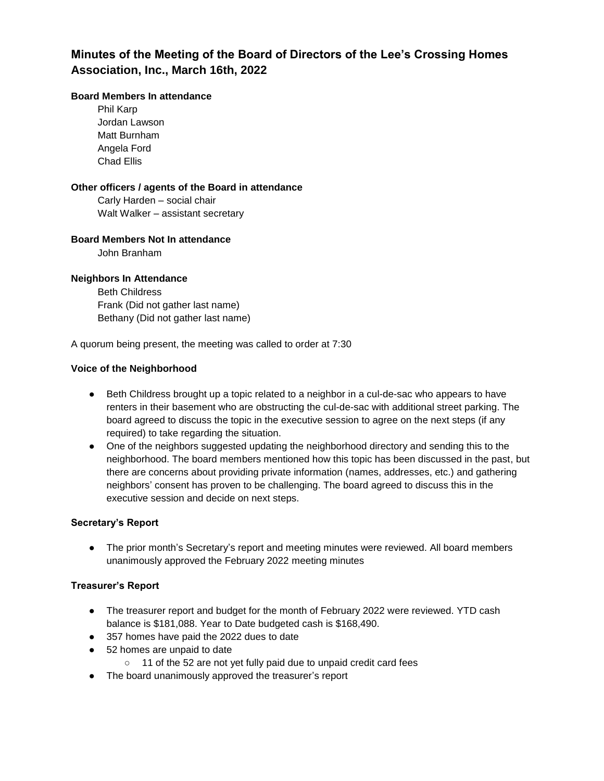## **Minutes of the Meeting of the Board of Directors of the Lee's Crossing Homes Association, Inc., March 16th, 2022**

### **Board Members In attendance**

Phil Karp Jordan Lawson Matt Burnham Angela Ford Chad Ellis

### **Other officers / agents of the Board in attendance**

Carly Harden – social chair Walt Walker – assistant secretary

### **Board Members Not In attendance**

John Branham

### **Neighbors In Attendance**

Beth Childress Frank (Did not gather last name) Bethany (Did not gather last name)

A quorum being present, the meeting was called to order at 7:30

### **Voice of the Neighborhood**

- Beth Childress brought up a topic related to a neighbor in a cul-de-sac who appears to have renters in their basement who are obstructing the cul-de-sac with additional street parking. The board agreed to discuss the topic in the executive session to agree on the next steps (if any required) to take regarding the situation.
- One of the neighbors suggested updating the neighborhood directory and sending this to the neighborhood. The board members mentioned how this topic has been discussed in the past, but there are concerns about providing private information (names, addresses, etc.) and gathering neighbors' consent has proven to be challenging. The board agreed to discuss this in the executive session and decide on next steps.

### **Secretary's Report**

● The prior month's Secretary's report and meeting minutes were reviewed. All board members unanimously approved the February 2022 meeting minutes

### **Treasurer's Report**

- The treasurer report and budget for the month of February 2022 were reviewed. YTD cash balance is \$181,088. Year to Date budgeted cash is \$168,490.
- 357 homes have paid the 2022 dues to date
- 52 homes are unpaid to date
	- 11 of the 52 are not yet fully paid due to unpaid credit card fees
- The board unanimously approved the treasurer's report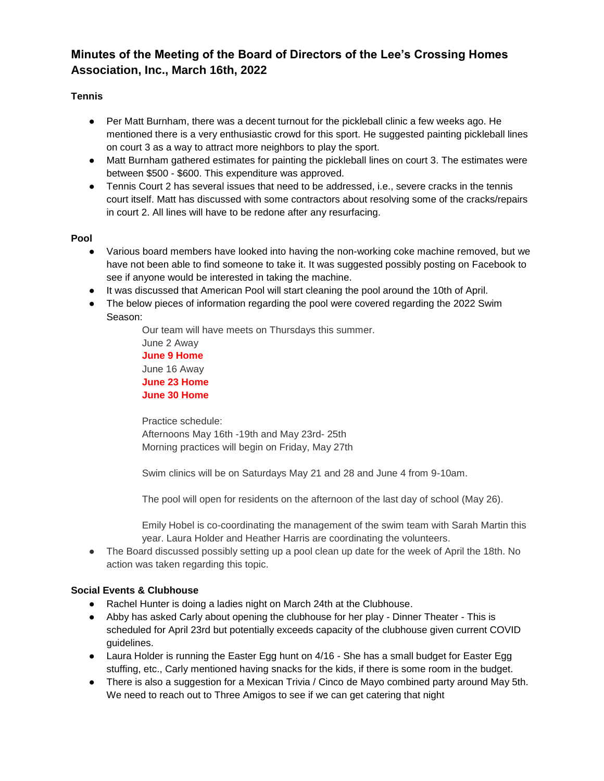# **Minutes of the Meeting of the Board of Directors of the Lee's Crossing Homes Association, Inc., March 16th, 2022**

## **Tennis**

- Per Matt Burnham, there was a decent turnout for the pickleball clinic a few weeks ago. He mentioned there is a very enthusiastic crowd for this sport. He suggested painting pickleball lines on court 3 as a way to attract more neighbors to play the sport.
- Matt Burnham gathered estimates for painting the pickleball lines on court 3. The estimates were between \$500 - \$600. This expenditure was approved.
- Tennis Court 2 has several issues that need to be addressed, i.e., severe cracks in the tennis court itself. Matt has discussed with some contractors about resolving some of the cracks/repairs in court 2. All lines will have to be redone after any resurfacing.

## **Pool**

- Various board members have looked into having the non-working coke machine removed, but we have not been able to find someone to take it. It was suggested possibly posting on Facebook to see if anyone would be interested in taking the machine.
- It was discussed that American Pool will start cleaning the pool around the 10th of April.
- The below pieces of information regarding the pool were covered regarding the 2022 Swim Season:

Our team will have meets on Thursdays this summer. June 2 Away **June 9 Home** June 16 Away **June 23 Home June 30 Home**

Practice schedule: Afternoons May 16th -19th and May 23rd- 25th Morning practices will begin on Friday, May 27th

Swim clinics will be on Saturdays May 21 and 28 and June 4 from 9-10am.

The pool will open for residents on the afternoon of the last day of school (May 26).

Emily Hobel is co-coordinating the management of the swim team with Sarah Martin this year. Laura Holder and Heather Harris are coordinating the volunteers.

• The Board discussed possibly setting up a pool clean up date for the week of April the 18th. No action was taken regarding this topic.

## **Social Events & Clubhouse**

- Rachel Hunter is doing a ladies night on March 24th at the Clubhouse.
- Abby has asked Carly about opening the clubhouse for her play Dinner Theater This is scheduled for April 23rd but potentially exceeds capacity of the clubhouse given current COVID guidelines.
- Laura Holder is running the Easter Egg hunt on 4/16 She has a small budget for Easter Egg stuffing, etc., Carly mentioned having snacks for the kids, if there is some room in the budget.
- There is also a suggestion for a Mexican Trivia / Cinco de Mayo combined party around May 5th. We need to reach out to Three Amigos to see if we can get catering that night